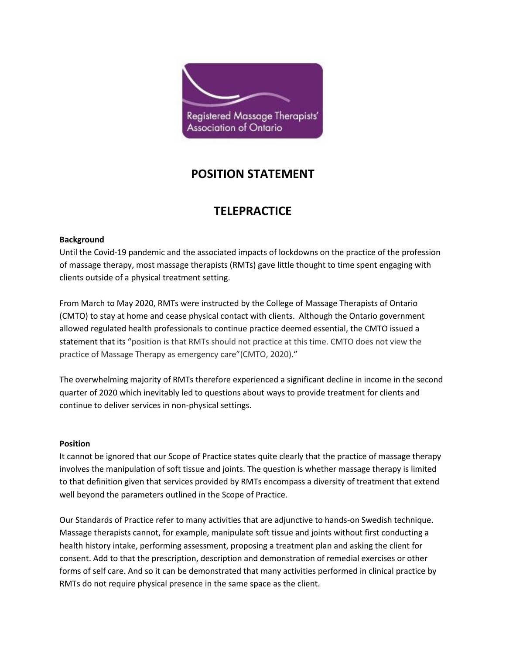

# **POSITION STATEMENT**

# **TELEPRACTICE**

### **Background**

Until the Covid-19 pandemic and the associated impacts of lockdowns on the practice of the profession of massage therapy, most massage therapists (RMTs) gave little thought to time spent engaging with clients outside of a physical treatment setting.

From March to May 2020, RMTs were instructed by the College of Massage Therapists of Ontario (CMTO) to stay at home and cease physical contact with clients. Although the Ontario government allowed regulated health professionals to continue practice deemed essential, the CMTO issued a statement that its "position is that RMTs should not practice at this time. CMTO does not view the practice of Massage Therapy as emergency care"(CMTO, 2020)."

The overwhelming majority of RMTs therefore experienced a significant decline in income in the second quarter of 2020 which inevitably led to questions about ways to provide treatment for clients and continue to deliver services in non-physical settings.

#### **Position**

It cannot be ignored that our Scope of Practice states quite clearly that the practice of massage therapy involves the manipulation of soft tissue and joints. The question is whether massage therapy is limited to that definition given that services provided by RMTs encompass a diversity of treatment that extend well beyond the parameters outlined in the Scope of Practice.

Our Standards of Practice refer to many activities that are adjunctive to hands-on Swedish technique. Massage therapists cannot, for example, manipulate soft tissue and joints without first conducting a health history intake, performing assessment, proposing a treatment plan and asking the client for consent. Add to that the prescription, description and demonstration of remedial exercises or other forms of self care. And so it can be demonstrated that many activities performed in clinical practice by RMTs do not require physical presence in the same space as the client.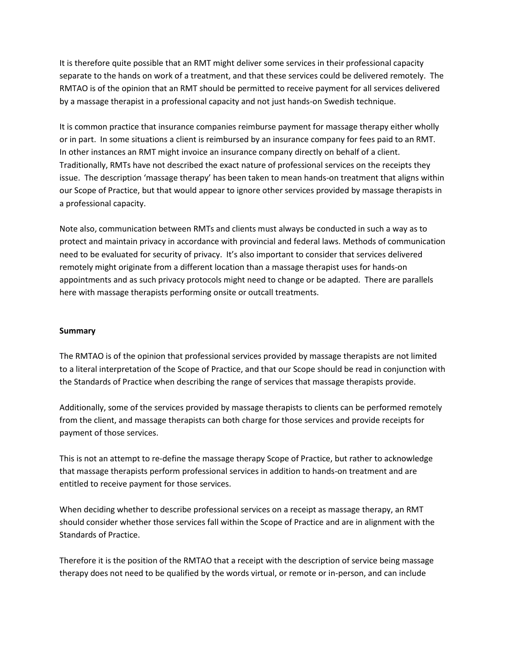It is therefore quite possible that an RMT might deliver some services in their professional capacity separate to the hands on work of a treatment, and that these services could be delivered remotely. The RMTAO is of the opinion that an RMT should be permitted to receive payment for all services delivered by a massage therapist in a professional capacity and not just hands-on Swedish technique.

It is common practice that insurance companies reimburse payment for massage therapy either wholly or in part. In some situations a client is reimbursed by an insurance company for fees paid to an RMT. In other instances an RMT might invoice an insurance company directly on behalf of a client. Traditionally, RMTs have not described the exact nature of professional services on the receipts they issue. The description 'massage therapy' has been taken to mean hands-on treatment that aligns within our Scope of Practice, but that would appear to ignore other services provided by massage therapists in a professional capacity.

Note also, communication between RMTs and clients must always be conducted in such a way as to protect and maintain privacy in accordance with provincial and federal laws. Methods of communication need to be evaluated for security of privacy. It's also important to consider that services delivered remotely might originate from a different location than a massage therapist uses for hands-on appointments and as such privacy protocols might need to change or be adapted. There are parallels here with massage therapists performing onsite or outcall treatments.

#### **Summary**

The RMTAO is of the opinion that professional services provided by massage therapists are not limited to a literal interpretation of the Scope of Practice, and that our Scope should be read in conjunction with the Standards of Practice when describing the range of services that massage therapists provide.

Additionally, some of the services provided by massage therapists to clients can be performed remotely from the client, and massage therapists can both charge for those services and provide receipts for payment of those services.

This is not an attempt to re-define the massage therapy Scope of Practice, but rather to acknowledge that massage therapists perform professional services in addition to hands-on treatment and are entitled to receive payment for those services.

When deciding whether to describe professional services on a receipt as massage therapy, an RMT should consider whether those services fall within the Scope of Practice and are in alignment with the Standards of Practice.

Therefore it is the position of the RMTAO that a receipt with the description of service being massage therapy does not need to be qualified by the words virtual, or remote or in-person, and can include